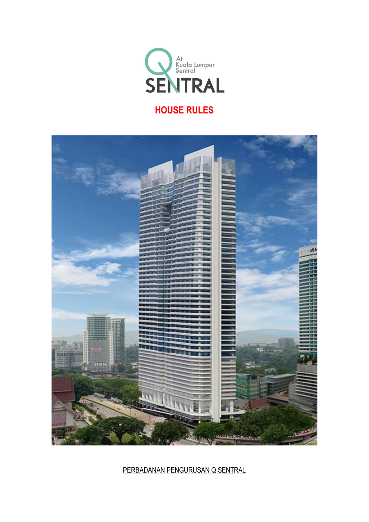



PERBADANAN PENGURUSAN Q SENTRAL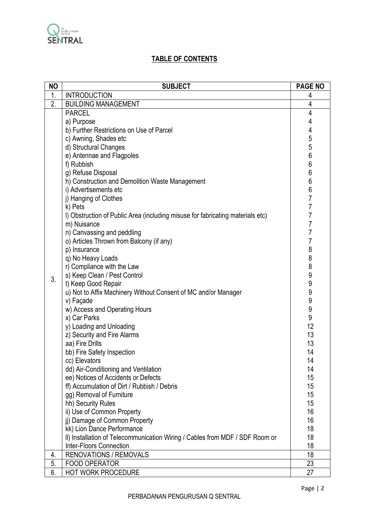

# **TABLE OF CONTENTS**

| <b>NO</b> | <b>SUBJECT</b>                                                                 | <b>PAGE NO</b>   |
|-----------|--------------------------------------------------------------------------------|------------------|
| 1.        | <b>INTRODUCTION</b>                                                            | 4                |
| 2.        | <b>BUILDING MANAGEMENT</b>                                                     | $\overline{4}$   |
|           | <b>PARCEL</b>                                                                  | 4                |
|           | a) Purpose                                                                     | 4                |
|           | b) Further Restrictions on Use of Parcel                                       | 4                |
|           | c) Awning, Shades etc                                                          | 5                |
|           | d) Structural Changes                                                          | 5                |
|           | e) Antennae and Flagpoles                                                      | $6\phantom{a}$   |
|           | f) Rubbish                                                                     | $\boldsymbol{6}$ |
|           | g) Refuse Disposal                                                             | $6\phantom{a}$   |
|           | h) Construction and Demolition Waste Management                                | 6                |
|           | i) Advertisements etc                                                          | $6\phantom{a}$   |
|           | j) Hanging of Clothes                                                          | $\overline{7}$   |
|           | k) Pets                                                                        | 7                |
|           | I) Obstruction of Public Area (including misuse for fabricating materials etc) | 7                |
|           | m) Nuisance                                                                    | $\overline{7}$   |
|           | n) Canvassing and peddling                                                     | $\overline{7}$   |
|           | o) Articles Thrown from Balcony (if any)                                       | 7                |
|           | p) Insurance                                                                   | 8                |
|           | q) No Heavy Loads                                                              | 8                |
|           | r) Compliance with the Law                                                     | 8                |
|           | s) Keep Clean / Pest Control                                                   | 9                |
| 3.        | t) Keep Good Repair                                                            | 9                |
|           | u) Not to Affix Machinery Without Consent of MC and/or Manager                 | 9                |
|           | v) Façade                                                                      | $\boldsymbol{9}$ |
|           | w) Access and Operating Hours                                                  | 9                |
|           | x) Car Parks                                                                   | 9                |
|           | y) Loading and Unloading                                                       | 12               |
|           | z) Security and Fire Alarms                                                    | 13               |
|           | aa) Fire Drills                                                                | 13               |
|           | bb) Fire Safety Inspection                                                     | 14               |
|           | cc) Elevators                                                                  | 14               |
|           | dd) Air-Conditioning and Ventilation                                           | 14               |
|           | ee) Notices of Accidents or Defects                                            | 15               |
|           | ff) Accumulation of Dirt / Rubbish / Debris                                    | 15               |
|           | gg) Removal of Furniture                                                       | 15               |
|           | hh) Security Rules                                                             | 15               |
|           | ii) Use of Common Property                                                     | 16               |
|           | ii) Damage of Common Property                                                  | 16               |
|           | kk) Lion Dance Performance                                                     | 18               |
|           | II) Installation of Telecommunication Wiring / Cables from MDF / SDF Room or   | 18               |
|           | <b>Inter-Floors Connection</b>                                                 | 18               |
| 4.        | <b>RENOVATIONS / REMOVALS</b>                                                  | 18               |
| 5.        | <b>FOOD OPERATOR</b>                                                           | 23               |
| 6.        | <b>HOT WORK PROCEDURE</b>                                                      | 27               |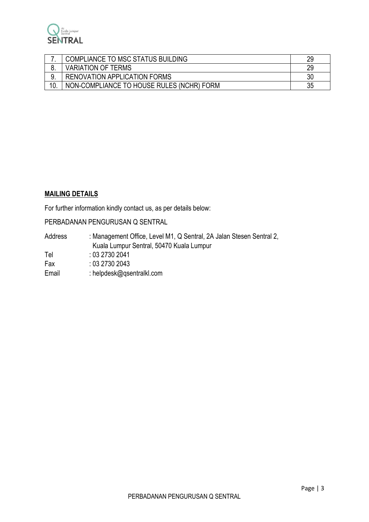

| COMPLIANCE TO MSC STATUS BUILDING         | 29 |
|-------------------------------------------|----|
| <b>VARIATION OF TERMS</b>                 | 29 |
| RENOVATION APPLICATION FORMS              | 30 |
| NON-COMPLIANCE TO HOUSE RULES (NCHR) FORM | 35 |

## **MAILING DETAILS**

For further information kindly contact us, as per details below:

PERBADANAN PENGURUSAN Q SENTRAL

| Address | : Management Office, Level M1, Q Sentral, 2A Jalan Stesen Sentral 2, |
|---------|----------------------------------------------------------------------|
|         | Kuala Lumpur Sentral, 50470 Kuala Lumpur                             |
| Tel     | : 0327302041                                                         |
| Fax     | : 0327302043                                                         |
| Email   | : helpdesk@gsentralkl.com                                            |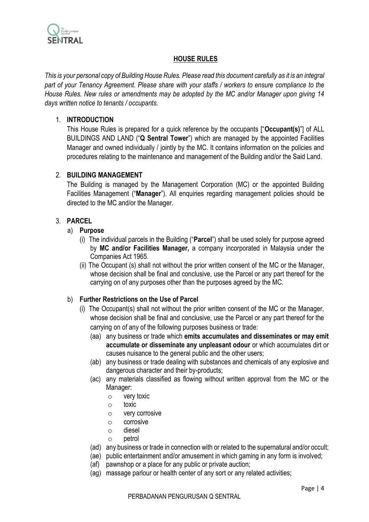

## **HOUSE RULES**

*This is your personal copy of Building House Rules. Please read this document carefully as it is an integral part of your Tenancy Agreement. Please share with your staffs / workers to ensure compliance to the House Rules. New rules or amendments may be adopted by the MC and/or Manager upon giving 14 days written notice to tenants / occupants.*

## 1. **INTRODUCTION**

This House Rules is prepared for a quick reference by the occupants ["**Occupant(s)**"] of ALL BUILDINGS AND LAND ("**Q Sentral Tower**") which are managed by the appointed Facilities Manager and owned individually / jointly by the MC. It contains information on the policies and procedures relating to the maintenance and management of the Building and/or the Said Land.

## 2. **BUILDING MANAGEMENT**

The Building is managed by the Management Corporation (MC) or the appointed Building Facilities Management ("**Manager**"). All enquiries regarding management policies should be directed to the MC and/or the Manager.

## 3. **PARCEL**

- a) **Purpose**
	- (i) The individual parcels in the Building ("**Parcel**") shall be used solely for purpose agreed by **MC and/or Facilities Manager,** a company incorporated in Malaysia under the Companies Act 1965.
	- (ii) The Occupant (s) shall not without the prior written consent of the MC or the Manager, whose decision shall be final and conclusive, use the Parcel or any part thereof for the carrying on of any purposes other than the purposes agreed by the MC.

## b) **Further Restrictions on the Use of Parcel**

- (i) The Occupant(s) shall not without the prior written consent of the MC or the Manager, whose decision shall be final and conclusive, use the Parcel or any part thereof for the carrying on of any of the following purposes business or trade:
	- (aa) any business or trade which **emits accumulates and disseminates or may emit accumulate or disseminate any unpleasant odour** or which accumulates dirt or causes nuisance to the general public and the other users;
	- (ab) any business or trade dealing with substances and chemicals of any explosive and dangerous character and their by-products;
	- (ac) any materials classified as flowing without written approval from the MC or the Manager:
		- o very toxic
		- o toxic
		- o very corrosive
		- o corrosive
		- o diesel
		- o petrol
	- (ad) any business or trade in connection with or related to the supernatural and/or occult;
	- (ae) public entertainment and/or amusement in which gaming in any form is involved;
	- (af) pawnshop or a place for any public or private auction;
	- (ag) massage parlour or health center of any sort or any related activities;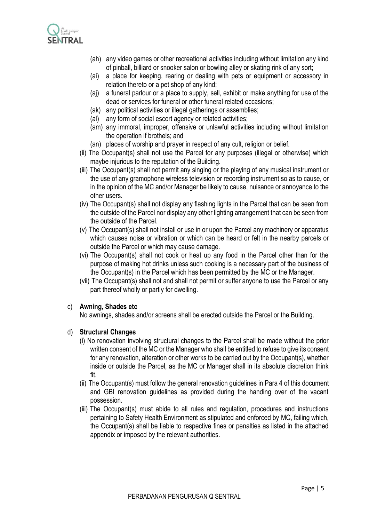

- (ah) any video games or other recreational activities including without limitation any kind of pinball, billiard or snooker salon or bowling alley or skating rink of any sort;
- (ai) a place for keeping, rearing or dealing with pets or equipment or accessory in relation thereto or a pet shop of any kind;
- (aj) a funeral parlour or a place to supply, sell, exhibit or make anything for use of the dead or services for funeral or other funeral related occasions;
- (ak) any political activities or illegal gatherings or assemblies;
- (al) any form of social escort agency or related activities;
- (am) any immoral, improper, offensive or unlawful activities including without limitation the operation if brothels; and
- (an) places of worship and prayer in respect of any cult, religion or belief.
- (ii) The Occupant(s) shall not use the Parcel for any purposes (illegal or otherwise) which maybe injurious to the reputation of the Building.
- (iii) The Occupant(s) shall not permit any singing or the playing of any musical instrument or the use of any gramophone wireless television or recording instrument so as to cause, or in the opinion of the MC and/or Manager be likely to cause, nuisance or annoyance to the other users.
- (iv) The Occupant(s) shall not display any flashing lights in the Parcel that can be seen from the outside of the Parcel nor display any other lighting arrangement that can be seen from the outside of the Parcel.
- (v) The Occupant(s) shall not install or use in or upon the Parcel any machinery or apparatus which causes noise or vibration or which can be heard or felt in the nearby parcels or outside the Parcel or which may cause damage.
- (vi) The Occupant(s) shall not cook or heat up any food in the Parcel other than for the purpose of making hot drinks unless such cooking is a necessary part of the business of the Occupant(s) in the Parcel which has been permitted by the MC or the Manager.
- (vii) The Occupant(s) shall not and shall not permit or suffer anyone to use the Parcel or any part thereof wholly or partly for dwelling.

#### c) **Awning, Shades etc**

No awnings, shades and/or screens shall be erected outside the Parcel or the Building.

#### d) **Structural Changes**

- (i) No renovation involving structural changes to the Parcel shall be made without the prior written consent of the MC or the Manager who shall be entitled to refuse to give its consent for any renovation, alteration or other works to be carried out by the Occupant(s), whether inside or outside the Parcel, as the MC or Manager shall in its absolute discretion think fit.
- (ii) The Occupant(s) must follow the general renovation guidelines in Para 4 of this document and GBI renovation guidelines as provided during the handing over of the vacant possession.
- (iii) The Occupant(s) must abide to all rules and regulation, procedures and instructions pertaining to Safety Health Environment as stipulated and enforced by MC, failing which, the Occupant(s) shall be liable to respective fines or penalties as listed in the attached appendix or imposed by the relevant authorities.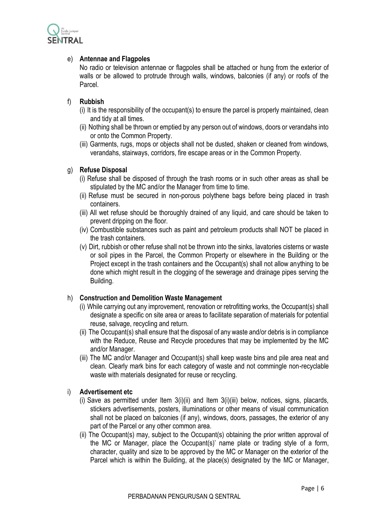

## e) **Antennae and Flagpoles**

No radio or television antennae or flagpoles shall be attached or hung from the exterior of walls or be allowed to protrude through walls, windows, balconies (if any) or roofs of the Parcel.

### f) **Rubbish**

- (i) It is the responsibility of the occupant(s) to ensure the parcel is properly maintained, clean and tidy at all times.
- (ii) Nothing shall be thrown or emptied by any person out of windows, doors or verandahs into or onto the Common Property.
- (iii) Garments, rugs, mops or objects shall not be dusted, shaken or cleaned from windows, verandahs, stairways, corridors, fire escape areas or in the Common Property.

### g) **Refuse Disposal**

- (i) Refuse shall be disposed of through the trash rooms or in such other areas as shall be stipulated by the MC and/or the Manager from time to time.
- (ii) Refuse must be secured in non-porous polythene bags before being placed in trash containers.
- (iii) All wet refuse should be thoroughly drained of any liquid, and care should be taken to prevent dripping on the floor.
- (iv) Combustible substances such as paint and petroleum products shall NOT be placed in the trash containers.
- (v) Dirt, rubbish or other refuse shall not be thrown into the sinks, lavatories cisterns or waste or soil pipes in the Parcel, the Common Property or elsewhere in the Building or the Project except in the trash containers and the Occupant(s) shall not allow anything to be done which might result in the clogging of the sewerage and drainage pipes serving the Building.

#### h) **Construction and Demolition Waste Management**

- (i) While carrying out any improvement, renovation or retrofitting works, the Occupant(s) shall designate a specific on site area or areas to facilitate separation of materials for potential reuse, salvage, recycling and return.
- (ii) The Occupant(s) shall ensure that the disposal of any waste and/or debris is in compliance with the Reduce, Reuse and Recycle procedures that may be implemented by the MC and/or Manager.
- (iii) The MC and/or Manager and Occupant(s) shall keep waste bins and pile area neat and clean. Clearly mark bins for each category of waste and not commingle non-recyclable waste with materials designated for reuse or recycling.

#### i) **Advertisement etc**

- (i) Save as permitted under Item 3(i)(ii) and Item 3(i)(iii) below, notices, signs, placards, stickers advertisements, posters, illuminations or other means of visual communication shall not be placed on balconies (if any), windows, doors, passages, the exterior of any part of the Parcel or any other common area.
- (ii) The Occupant(s) may, subject to the Occupant(s) obtaining the prior written approval of the MC or Manager, place the Occupant(s)' name plate or trading style of a form, character, quality and size to be approved by the MC or Manager on the exterior of the Parcel which is within the Building, at the place(s) designated by the MC or Manager,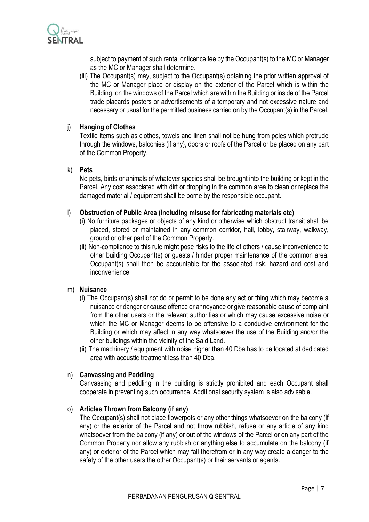

subject to payment of such rental or licence fee by the Occupant(s) to the MC or Manager as the MC or Manager shall determine.

(iii) The Occupant(s) may, subject to the Occupant(s) obtaining the prior written approval of the MC or Manager place or display on the exterior of the Parcel which is within the Building, on the windows of the Parcel which are within the Building or inside of the Parcel trade placards posters or advertisements of a temporary and not excessive nature and necessary or usual for the permitted business carried on by the Occupant(s) in the Parcel.

### j) **Hanging of Clothes**

Textile items such as clothes, towels and linen shall not be hung from poles which protrude through the windows, balconies (if any), doors or roofs of the Parcel or be placed on any part of the Common Property.

#### k) **Pets**

No pets, birds or animals of whatever species shall be brought into the building or kept in the Parcel. Any cost associated with dirt or dropping in the common area to clean or replace the damaged material / equipment shall be borne by the responsible occupant.

### l) **Obstruction of Public Area (including misuse for fabricating materials etc)**

- (i) No furniture packages or objects of any kind or otherwise which obstruct transit shall be placed, stored or maintained in any common corridor, hall, lobby, stairway, walkway, ground or other part of the Common Property.
- (ii) Non-compliance to this rule might pose risks to the life of others / cause inconvenience to other building Occupant(s) or guests / hinder proper maintenance of the common area. Occupant(s) shall then be accountable for the associated risk, hazard and cost and inconvenience.

#### m) **Nuisance**

- (i) The Occupant(s) shall not do or permit to be done any act or thing which may become a nuisance or danger or cause offence or annoyance or give reasonable cause of complaint from the other users or the relevant authorities or which may cause excessive noise or which the MC or Manager deems to be offensive to a conducive environment for the Building or which may affect in any way whatsoever the use of the Building and/or the other buildings within the vicinity of the Said Land.
- (ii) The machinery / equipment with noise higher than 40 Dba has to be located at dedicated area with acoustic treatment less than 40 Dba.

## n) **Canvassing and Peddling**

Canvassing and peddling in the building is strictly prohibited and each Occupant shall cooperate in preventing such occurrence. Additional security system is also advisable.

#### o) **Articles Thrown from Balcony (if any)**

The Occupant(s) shall not place flowerpots or any other things whatsoever on the balcony (if any) or the exterior of the Parcel and not throw rubbish, refuse or any article of any kind whatsoever from the balcony (if any) or out of the windows of the Parcel or on any part of the Common Property nor allow any rubbish or anything else to accumulate on the balcony (if any) or exterior of the Parcel which may fall therefrom or in any way create a danger to the safety of the other users the other Occupant(s) or their servants or agents.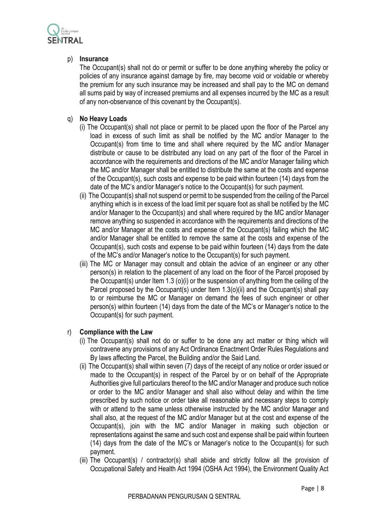

## p) **Insurance**

The Occupant(s) shall not do or permit or suffer to be done anything whereby the policy or policies of any insurance against damage by fire, may become void or voidable or whereby the premium for any such insurance may be increased and shall pay to the MC on demand all sums paid by way of increased premiums and all expenses incurred by the MC as a result of any non-observance of this covenant by the Occupant(s).

## q) **No Heavy Loads**

- (i) The Occupant(s) shall not place or permit to be placed upon the floor of the Parcel any load in excess of such limit as shall be notified by the MC and/or Manager to the Occupant(s) from time to time and shall where required by the MC and/or Manager distribute or cause to be distributed any load on any part of the floor of the Parcel in accordance with the requirements and directions of the MC and/or Manager failing which the MC and/or Manager shall be entitled to distribute the same at the costs and expense of the Occupant(s), such costs and expense to be paid within fourteen (14) days from the date of the MC's and/or Manager's notice to the Occupant(s) for such payment.
- (ii) The Occupant(s) shall not suspend or permit to be suspended from the ceiling of the Parcel anything which is in excess of the load limit per square foot as shall be notified by the MC and/or Manager to the Occupant(s) and shall where required by the MC and/or Manager remove anything so suspended in accordance with the requirements and directions of the MC and/or Manager at the costs and expense of the Occupant(s) failing which the MC and/or Manager shall be entitled to remove the same at the costs and expense of the Occupant(s), such costs and expense to be paid within fourteen (14) days from the date of the MC's and/or Manager's notice to the Occupant(s) for such payment.
- (iii) The MC or Manager may consult and obtain the advice of an engineer or any other person(s) in relation to the placement of any load on the floor of the Parcel proposed by the Occupant(s) under Item 1.3 (o)(i) or the suspension of anything from the ceiling of the Parcel proposed by the Occupant(s) under Item 1.3(o)(ii) and the Occupant(s) shall pay to or reimburse the MC or Manager on demand the fees of such engineer or other person(s) within fourteen (14) days from the date of the MC's or Manager's notice to the Occupant(s) for such payment.

## r) **Compliance with the Law**

- (i) The Occupant(s) shall not do or suffer to be done any act matter or thing which will contravene any provisions of any Act Ordinance Enactment Order Rules Regulations and By laws affecting the Parcel, the Building and/or the Said Land.
- (ii) The Occupant(s) shall within seven (7) days of the receipt of any notice or order issued or made to the Occupant(s) in respect of the Parcel by or on behalf of the Appropriate Authorities give full particulars thereof to the MC and/or Manager and produce such notice or order to the MC and/or Manager and shall also without delay and within the time prescribed by such notice or order take all reasonable and necessary steps to comply with or attend to the same unless otherwise instructed by the MC and/or Manager and shall also, at the request of the MC and/or Manager but at the cost and expense of the Occupant(s), join with the MC and/or Manager in making such objection or representations against the same and such cost and expense shall be paid within fourteen (14) days from the date of the MC's or Manager's notice to the Occupant(s) for such payment.
- (iii) The Occupant(s) / contractor(s) shall abide and strictly follow all the provision of Occupational Safety and Health Act 1994 (OSHA Act 1994), the Environment Quality Act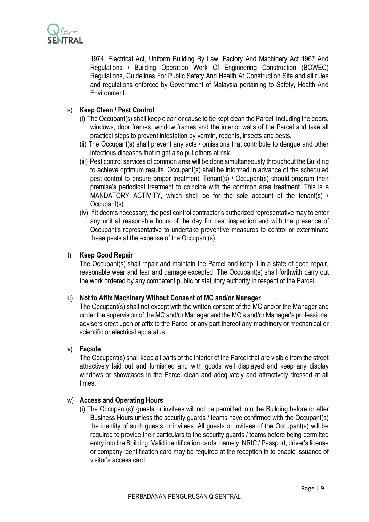

1974, Electrical Act, Uniform Building By Law, Factory And Machinery Act 1967 And Regulations / Building Operation Work Of Engineering Construction (BOWEC) Regulations, Guidelines For Public Safety And Health At Construction Site and all rules and regulations enforced by Government of Malaysia pertaining to Safety, Health And Environment.

## s) **Keep Clean / Pest Control**

- (i) The Occupant(s) shall keep clean or cause to be kept clean the Parcel, including the doors, windows, door frames, window frames and the interior walls of the Parcel and take all practical steps to prevent infestation by vermin, rodents, insects and pests.
- (ii) The Occupant(s) shall prevent any acts / omissions that contribute to dengue and other infectious diseases that might also put others at risk.
- (iii) Pest control services of common area will be done simultaneously throughout the Building to achieve optimum results. Occupant(s) shall be informed in advance of the scheduled pest control to ensure proper treatment. Tenant(s) / Occupant(s) should program their premise's periodical treatment to coincide with the common area treatment. This is a MANDATORY ACTIVITY, which shall be for the sole account of the tenant(s) / Occupant(s).
- (iv) If it deems necessary, the pest control contractor's authorized representative may to enter any unit at reasonable hours of the day for pest inspection and with the presence of Occupant's representative to undertake preventive measures to control or exterminate these pests at the expense of the Occupant(s).

### t) **Keep Good Repair**

The Occupant(s) shall repair and maintain the Parcel and keep it in a state of good repair, reasonable wear and tear and damage excepted. The Occupant(s) shall forthwith carry out the work ordered by any competent public or statutory authority in respect of the Parcel.

#### u) **Not to Affix Machinery Without Consent of MC and/or Manager**

The Occupant(s) shall not except with the written consent of the MC and/or the Manager and under the supervision of the MC and/or Manager and the MC's and/or Manager's professional advisers erect upon or affix to the Parcel or any part thereof any machinery or mechanical or scientific or electrical apparatus.

#### v) **Façade**

The Occupant(s) shall keep all parts of the interior of the Parcel that are visible from the street attractively laid out and furnished and with goods well displayed and keep any display windows or showcases in the Parcel clean and adequately and attractively dressed at all times.

#### w) **Access and Operating Hours**

(i) The Occupant(s)' guests or invitees will not be permitted into the Building before or after Business Hours unless the security guards / teams have confirmed with the Occupant(s) the identity of such guests or invitees. All guests or invitees of the Occupant(s) will be required to provide their particulars to the security guards / teams before being permitted entry into the Building. Valid identification cards, namely, NRIC / Passport, driver's license or company identification card may be required at the reception in to enable issuance of visitor's access card.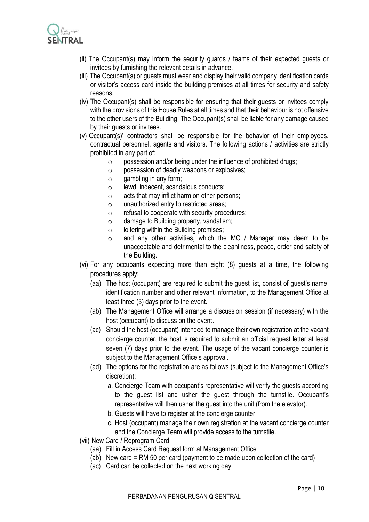

- (ii) The Occupant(s) may inform the security guards / teams of their expected guests or invitees by furnishing the relevant details in advance.
- (iii) The Occupant(s) or guests must wear and display their valid company identification cards or visitor's access card inside the building premises at all times for security and safety reasons.
- (iv) The Occupant(s) shall be responsible for ensuring that their guests or invitees comply with the provisions of this House Rules at all times and that their behaviour is not offensive to the other users of the Building. The Occupant(s) shall be liable for any damage caused by their guests or invitees.
- (v) Occupant(s)' contractors shall be responsible for the behavior of their employees, contractual personnel, agents and visitors. The following actions / activities are strictly prohibited in any part of:
	- $\circ$  possession and/or being under the influence of prohibited drugs;
	- o possession of deadly weapons or explosives;
	- $\circ$  gambling in any form;
	- o lewd, indecent, scandalous conducts;
	- $\circ$  acts that may inflict harm on other persons;
	- o unauthorized entry to restricted areas;
	- o refusal to cooperate with security procedures;
	- $\circ$  damage to Building property, vandalism;
	- $\circ$  loitering within the Building premises;
	- o and any other activities, which the MC / Manager may deem to be unacceptable and detrimental to the cleanliness, peace, order and safety of the Building.
- (vi) For any occupants expecting more than eight (8) guests at a time, the following procedures apply:
	- (aa) The host (occupant) are required to submit the guest list, consist of guest's name, identification number and other relevant information, to the Management Office at least three (3) days prior to the event.
	- (ab) The Management Office will arrange a discussion session (if necessary) with the host (occupant) to discuss on the event.
	- (ac) Should the host (occupant) intended to manage their own registration at the vacant concierge counter, the host is required to submit an official request letter at least seven (7) days prior to the event. The usage of the vacant concierge counter is subject to the Management Office's approval.
	- (ad) The options for the registration are as follows (subject to the Management Office's discretion):
		- a. Concierge Team with occupant's representative will verify the guests according to the guest list and usher the guest through the turnstile. Occupant's representative will then usher the guest into the unit (from the elevator).
		- b. Guests will have to register at the concierge counter.
		- c. Host (occupant) manage their own registration at the vacant concierge counter and the Concierge Team will provide access to the turnstile.
- (vii) New Card / Reprogram Card
	- (aa) Fill in Access Card Request form at Management Office
	- (ab) New card = RM 50 per card (payment to be made upon collection of the card)
	- (ac) Card can be collected on the next working day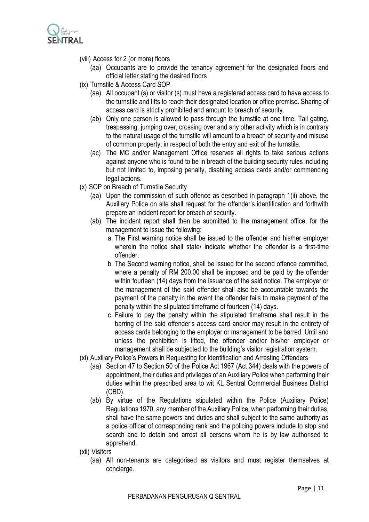

- (viii) Access for 2 (or more) floors
	- (aa) Occupants are to provide the tenancy agreement for the designated floors and official letter stating the desired floors
- (ix) Turnstile & Access Card SOP
	- (aa) All occupant (s) or visitor (s) must have a registered access card to have access to the turnstile and lifts to reach their designated location or office premise. Sharing of access card is strictly prohibited and amount to breach of security.
	- (ab) Only one person is allowed to pass through the turnstile at one time. Tail gating, trespassing, jumping over, crossing over and any other activity which is in contrary to the natural usage of the turnstile will amount to a breach of security and misuse of common property; in respect of both the entry and exit of the turnstile.
	- (ac) The MC and/or Management Office reserves all rights to take serious actions against anyone who is found to be in breach of the building security rules including but not limited to, imposing penalty, disabling access cards and/or commencing legal actions.
- (x) SOP on Breach of Turnstile Security
	- (aa) Upon the commission of such offence as described in paragraph 1(ii) above, the Auxiliary Police on site shall request for the offender's identification and forthwith prepare an incident report for breach of security.
	- (ab) The incident report shall then be submitted to the management office, for the management to issue the following:
		- a. The First warning notice shall be issued to the offender and his/her employer wherein the notice shall state/ indicate whether the offender is a first-time offender.
		- b. The Second warning notice, shall be issued for the second offence committed, where a penalty of RM 200.00 shall be imposed and be paid by the offender within fourteen (14) days from the issuance of the said notice. The employer or the management of the said offender shall also be accountable towards the payment of the penalty in the event the offender fails to make payment of the penalty within the stipulated timeframe of fourteen (14) days.
		- c. Failure to pay the penalty within the stipulated timeframe shall result in the barring of the said offender's access card and/or may result in the entirety of access cards belonging to the employer or management to be barred. Until and unless the prohibition is lifted, the offender and/or his/her employer or management shall be subjected to the building's visitor registration system.
- (xi) Auxiliary Police's Powers in Requesting for Identification and Arresting Offenders
	- (aa) Section 47 to Section 50 of the Police Act 1967 (Act 344) deals with the powers of appointment, their duties and privileges of an Auxiliary Police when performing their duties within the prescribed area to wit KL Sentral Commercial Business District (CBD).
	- (ab) By virtue of the Regulations stipulated within the Police (Auxiliary Police) Regulations 1970, any member of the Auxiliary Police, when performing their duties, shall have the same powers and duties and shall subject to the same authority as a police officer of corresponding rank and the policing powers include to stop and search and to detain and arrest all persons whom he is by law authorised to apprehend.
- (xii) Visitors
	- (aa) All non-tenants are categorised as visitors and must register themselves at concierge.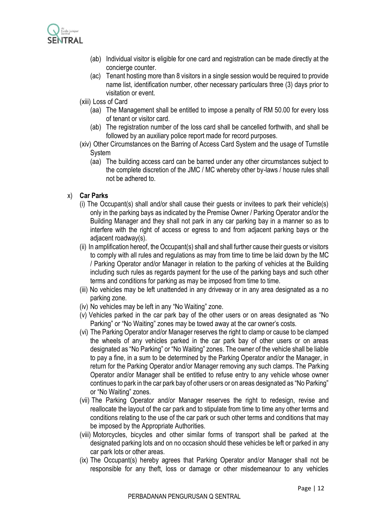

- (ab) Individual visitor is eligible for one card and registration can be made directly at the concierge counter.
- (ac) Tenant hosting more than 8 visitors in a single session would be required to provide name list, identification number, other necessary particulars three (3) days prior to visitation or event.
- (xiii) Loss of Card
	- (aa) The Management shall be entitled to impose a penalty of RM 50.00 for every loss of tenant or visitor card.
	- (ab) The registration number of the loss card shall be cancelled forthwith, and shall be followed by an auxiliary police report made for record purposes.
- (xiv) Other Circumstances on the Barring of Access Card System and the usage of Turnstile System
	- (aa) The building access card can be barred under any other circumstances subject to the complete discretion of the JMC / MC whereby other by-laws / house rules shall not be adhered to.

### x) **Car Parks**

- (i) The Occupant(s) shall and/or shall cause their guests or invitees to park their vehicle(s) only in the parking bays as indicated by the Premise Owner / Parking Operator and/or the Building Manager and they shall not park in any car parking bay in a manner so as to interfere with the right of access or egress to and from adjacent parking bays or the adjacent roadway(s).
- (ii) In amplification hereof, the Occupant(s) shall and shall further cause their guests or visitors to comply with all rules and regulations as may from time to time be laid down by the MC / Parking Operator and/or Manager in relation to the parking of vehicles at the Building including such rules as regards payment for the use of the parking bays and such other terms and conditions for parking as may be imposed from time to time.
- (iii) No vehicles may be left unattended in any driveway or in any area designated as a no parking zone.
- (iv) No vehicles may be left in any "No Waiting" zone.
- (v) Vehicles parked in the car park bay of the other users or on areas designated as "No Parking" or "No Waiting" zones may be towed away at the car owner's costs.
- (vi) The Parking Operator and/or Manager reserves the right to clamp or cause to be clamped the wheels of any vehicles parked in the car park bay of other users or on areas designated as "No Parking" or "No Waiting" zones. The owner of the vehicle shall be liable to pay a fine, in a sum to be determined by the Parking Operator and/or the Manager, in return for the Parking Operator and/or Manager removing any such clamps. The Parking Operator and/or Manager shall be entitled to refuse entry to any vehicle whose owner continues to park in the car park bay of other users or on areas designated as "No Parking" or "No Waiting" zones.
- (vii) The Parking Operator and/or Manager reserves the right to redesign, revise and reallocate the layout of the car park and to stipulate from time to time any other terms and conditions relating to the use of the car park or such other terms and conditions that may be imposed by the Appropriate Authorities.
- (viii) Motorcycles, bicycles and other similar forms of transport shall be parked at the designated parking lots and on no occasion should these vehicles be left or parked in any car park lots or other areas.
- (ix) The Occupant(s) hereby agrees that Parking Operator and/or Manager shall not be responsible for any theft, loss or damage or other misdemeanour to any vehicles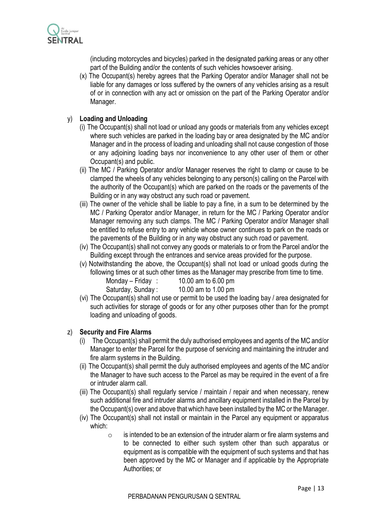

(including motorcycles and bicycles) parked in the designated parking areas or any other part of the Building and/or the contents of such vehicles howsoever arising.

(x) The Occupant(s) hereby agrees that the Parking Operator and/or Manager shall not be liable for any damages or loss suffered by the owners of any vehicles arising as a result of or in connection with any act or omission on the part of the Parking Operator and/or Manager.

## y) **Loading and Unloading**

- (i) The Occupant(s) shall not load or unload any goods or materials from any vehicles except where such vehicles are parked in the loading bay or area designated by the MC and/or Manager and in the process of loading and unloading shall not cause congestion of those or any adjoining loading bays nor inconvenience to any other user of them or other Occupant(s) and public.
- (ii) The MC / Parking Operator and/or Manager reserves the right to clamp or cause to be clamped the wheels of any vehicles belonging to any person(s) calling on the Parcel with the authority of the Occupant(s) which are parked on the roads or the pavements of the Building or in any way obstruct any such road or pavement.
- (iii) The owner of the vehicle shall be liable to pay a fine, in a sum to be determined by the MC / Parking Operator and/or Manager, in return for the MC / Parking Operator and/or Manager removing any such clamps. The MC / Parking Operator and/or Manager shall be entitled to refuse entry to any vehicle whose owner continues to park on the roads or the pavements of the Building or in any way obstruct any such road or pavement.
- (iv) The Occupant(s) shall not convey any goods or materials to or from the Parcel and/or the Building except through the entrances and service areas provided for the purpose.
- (v) Notwithstanding the above, the Occupant(s) shall not load or unload goods during the following times or at such other times as the Manager may prescribe from time to time.

| Monday – Friday:  | 10.00 am to 6.00 pm |
|-------------------|---------------------|
| Saturday, Sunday: | 10.00 am to 1.00 pm |

(vi) The Occupant(s) shall not use or permit to be used the loading bay / area designated for such activities for storage of goods or for any other purposes other than for the prompt loading and unloading of goods.

#### z) **Security and Fire Alarms**

- (i) The Occupant(s) shall permit the duly authorised employees and agents of the MC and/or Manager to enter the Parcel for the purpose of servicing and maintaining the intruder and fire alarm systems in the Building.
- (ii) The Occupant(s) shall permit the duly authorised employees and agents of the MC and/or the Manager to have such access to the Parcel as may be required in the event of a fire or intruder alarm call.
- (iii) The Occupant(s) shall regularly service / maintain / repair and when necessary, renew such additional fire and intruder alarms and ancillary equipment installed in the Parcel by the Occupant(s) over and above that which have been installed by the MC or the Manager.
- (iv) The Occupant(s) shall not install or maintain in the Parcel any equipment or apparatus which:
	- $\circ$  is intended to be an extension of the intruder alarm or fire alarm systems and to be connected to either such system other than such apparatus or equipment as is compatible with the equipment of such systems and that has been approved by the MC or Manager and if applicable by the Appropriate Authorities; or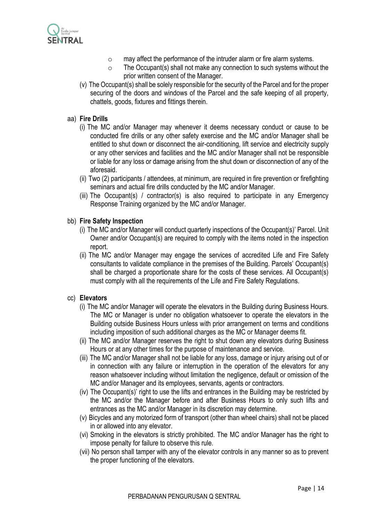

- o may affect the performance of the intruder alarm or fire alarm systems.
- $\circ$  The Occupant(s) shall not make any connection to such systems without the prior written consent of the Manager.
- (v) The Occupant(s) shall be solely responsible for the security of the Parcel and for the proper securing of the doors and windows of the Parcel and the safe keeping of all property, chattels, goods, fixtures and fittings therein.

## aa) **Fire Drills**

- (i) The MC and/or Manager may whenever it deems necessary conduct or cause to be conducted fire drills or any other safety exercise and the MC and/or Manager shall be entitled to shut down or disconnect the air-conditioning, lift service and electricity supply or any other services and facilities and the MC and/or Manager shall not be responsible or liable for any loss or damage arising from the shut down or disconnection of any of the aforesaid.
- (ii) Two (2) participants / attendees, at minimum, are required in fire prevention or firefighting seminars and actual fire drills conducted by the MC and/or Manager.
- (iii) The Occupant(s) / contractor(s) is also required to participate in any Emergency Response Training organized by the MC and/or Manager.

## bb) **Fire Safety Inspection**

- (i) The MC and/or Manager will conduct quarterly inspections of the Occupant(s)' Parcel. Unit Owner and/or Occupant(s) are required to comply with the items noted in the inspection report.
- (ii) The MC and/or Manager may engage the services of accredited Life and Fire Safety consultants to validate compliance in the premises of the Building. Parcels' Occupant(s) shall be charged a proportionate share for the costs of these services. All Occupant(s) must comply with all the requirements of the Life and Fire Safety Regulations.

#### cc) **Elevators**

- (i) The MC and/or Manager will operate the elevators in the Building during Business Hours. The MC or Manager is under no obligation whatsoever to operate the elevators in the Building outside Business Hours unless with prior arrangement on terms and conditions including imposition of such additional charges as the MC or Manager deems fit.
- (ii) The MC and/or Manager reserves the right to shut down any elevators during Business Hours or at any other times for the purpose of maintenance and service.
- (iii) The MC and/or Manager shall not be liable for any loss, damage or injury arising out of or in connection with any failure or interruption in the operation of the elevators for any reason whatsoever including without limitation the negligence, default or omission of the MC and/or Manager and its employees, servants, agents or contractors.
- (iv) The Occupant(s)' right to use the lifts and entrances in the Building may be restricted by the MC and/or the Manager before and after Business Hours to only such lifts and entrances as the MC and/or Manager in its discretion may determine.
- (v) Bicycles and any motorized form of transport (other than wheel chairs) shall not be placed in or allowed into any elevator.
- (vi) Smoking in the elevators is strictly prohibited. The MC and/or Manager has the right to impose penalty for failure to observe this rule.
- (vii) No person shall tamper with any of the elevator controls in any manner so as to prevent the proper functioning of the elevators.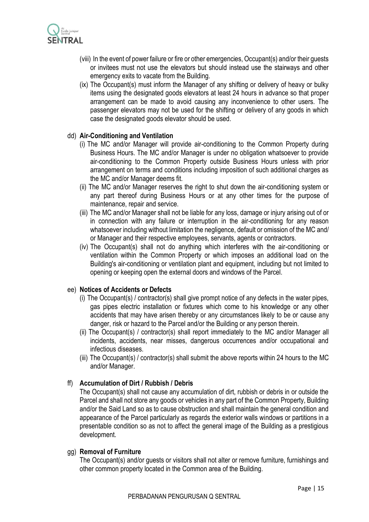

- (viii) In the event of power failure or fire or other emergencies, Occupant(s) and/or their guests or invitees must not use the elevators but should instead use the stairways and other emergency exits to vacate from the Building.
- (ix) The Occupant(s) must inform the Manager of any shifting or delivery of heavy or bulky items using the designated goods elevators at least 24 hours in advance so that proper arrangement can be made to avoid causing any inconvenience to other users. The passenger elevators may not be used for the shifting or delivery of any goods in which case the designated goods elevator should be used.

#### dd) **Air-Conditioning and Ventilation**

- (i) The MC and/or Manager will provide air-conditioning to the Common Property during Business Hours. The MC and/or Manager is under no obligation whatsoever to provide air-conditioning to the Common Property outside Business Hours unless with prior arrangement on terms and conditions including imposition of such additional charges as the MC and/or Manager deems fit.
- (ii) The MC and/or Manager reserves the right to shut down the air-conditioning system or any part thereof during Business Hours or at any other times for the purpose of maintenance, repair and service.
- (iii) The MC and/or Manager shall not be liable for any loss, damage or injury arising out of or in connection with any failure or interruption in the air-conditioning for any reason whatsoever including without limitation the negligence, default or omission of the MC and/ or Manager and their respective employees, servants, agents or contractors.
- (iv) The Occupant(s) shall not do anything which interferes with the air-conditioning or ventilation within the Common Property or which imposes an additional load on the Building's air-conditioning or ventilation plant and equipment, including but not limited to opening or keeping open the external doors and windows of the Parcel.

#### ee) **Notices of Accidents or Defects**

- (i) The Occupant(s) / contractor(s) shall give prompt notice of any defects in the water pipes, gas pipes electric installation or fixtures which come to his knowledge or any other accidents that may have arisen thereby or any circumstances likely to be or cause any danger, risk or hazard to the Parcel and/or the Building or any person therein.
- (ii) The Occupant(s) / contractor(s) shall report immediately to the MC and/or Manager all incidents, accidents, near misses, dangerous occurrences and/or occupational and infectious diseases.
- (iii) The Occupant(s) / contractor(s) shall submit the above reports within 24 hours to the MC and/or Manager.

#### ff) **Accumulation of Dirt / Rubbish / Debris**

The Occupant(s) shall not cause any accumulation of dirt, rubbish or debris in or outside the Parcel and shall not store any goods or vehicles in any part of the Common Property, Building and/or the Said Land so as to cause obstruction and shall maintain the general condition and appearance of the Parcel particularly as regards the exterior walls windows or partitions in a presentable condition so as not to affect the general image of the Building as a prestigious development.

#### gg) **Removal of Furniture**

The Occupant(s) and/or guests or visitors shall not alter or remove furniture, furnishings and other common property located in the Common area of the Building.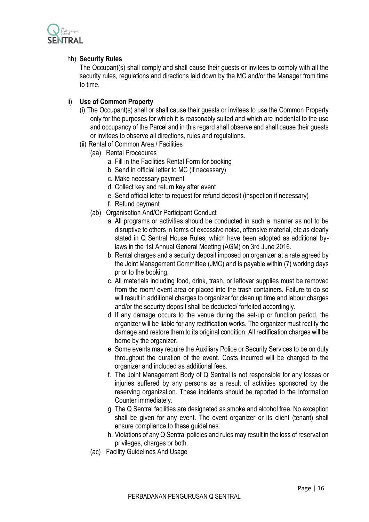

## hh) **Security Rules**

The Occupant(s) shall comply and shall cause their guests or invitees to comply with all the security rules, regulations and directions laid down by the MC and/or the Manager from time to time.

## ii) **Use of Common Property**

- (i) The Occupant(s) shall or shall cause their guests or invitees to use the Common Property only for the purposes for which it is reasonably suited and which are incidental to the use and occupancy of the Parcel and in this regard shall observe and shall cause their guests or invitees to observe all directions, rules and regulations.
- (ii) Rental of Common Area / Facilities
	- (aa) Rental Procedures
		- a. Fill in the Facilities Rental Form for booking
		- b. Send in official letter to MC (if necessary)
		- c. Make necessary payment
		- d. Collect key and return key after event
		- e. Send official letter to request for refund deposit (inspection if necessary)
		- f. Refund payment
	- (ab) Organisation And/Or Participant Conduct
		- a. All programs or activities should be conducted in such a manner as not to be disruptive to others in terms of excessive noise, offensive material, etc as clearly stated in Q Sentral House Rules, which have been adopted as additional bylaws in the 1st Annual General Meeting (AGM) on 3rd June 2016.
		- b. Rental charges and a security deposit imposed on organizer at a rate agreed by the Joint Management Committee (JMC) and is payable within (7) working days prior to the booking.
		- c. All materials including food, drink, trash, or leftover supplies must be removed from the room/ event area or placed into the trash containers. Failure to do so will result in additional charges to organizer for clean up time and labour charges and/or the security deposit shall be deducted/ forfeited accordingly.
		- d. If any damage occurs to the venue during the set-up or function period, the organizer will be liable for any rectification works. The organizer must rectify the damage and restore them to its original condition. All rectification charges will be borne by the organizer.
		- e. Some events may require the Auxiliary Police or Security Services to be on duty throughout the duration of the event. Costs incurred will be charged to the organizer and included as additional fees.
		- f. The Joint Management Body of Q Sentral is not responsible for any losses or injuries suffered by any persons as a result of activities sponsored by the reserving organization. These incidents should be reported to the Information Counter immediately.
		- g. The Q Sentral facilities are designated as smoke and alcohol free. No exception shall be given for any event. The event organizer or its client (tenant) shall ensure compliance to these guidelines.
		- h. Violations of any Q Sentral policies and rules may result in the loss of reservation privileges, charges or both.
	- (ac) Facility Guidelines And Usage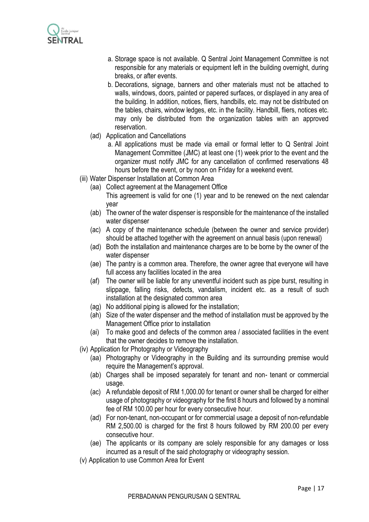

- a. Storage space is not available. Q Sentral Joint Management Committee is not responsible for any materials or equipment left in the building overnight, during breaks, or after events.
- b. Decorations, signage, banners and other materials must not be attached to walls, windows, doors, painted or papered surfaces, or displayed in any area of the building. In addition, notices, fliers, handbills, etc. may not be distributed on the tables, chairs, window ledges, etc. in the facility. Handbill, fliers, notices etc. may only be distributed from the organization tables with an approved reservation.
- (ad) Application and Cancellations
	- a. All applications must be made via email or formal letter to Q Sentral Joint Management Committee (JMC) at least one (1) week prior to the event and the organizer must notify JMC for any cancellation of confirmed reservations 48 hours before the event, or by noon on Friday for a weekend event.
- (iii) Water Dispenser Installation at Common Area
	- (aa) Collect agreement at the Management Office This agreement is valid for one (1) year and to be renewed on the next calendar year
	- (ab) The owner of the water dispenser is responsible for the maintenance of the installed water dispenser
	- (ac) A copy of the maintenance schedule (between the owner and service provider) should be attached together with the agreement on annual basis (upon renewal)
	- (ad) Both the installation and maintenance charges are to be borne by the owner of the water dispenser
	- (ae) The pantry is a common area. Therefore, the owner agree that everyone will have full access any facilities located in the area
	- (af) The owner will be liable for any uneventful incident such as pipe burst, resulting in slippage, falling risks, defects, vandalism, incident etc. as a result of such installation at the designated common area
	- (ag) No additional piping is allowed for the installation;
	- (ah) Size of the water dispenser and the method of installation must be approved by the Management Office prior to installation
	- (ai) To make good and defects of the common area / associated facilities in the event that the owner decides to remove the installation.
- (iv) Application for Photography or Videography
	- (aa) Photography or Videography in the Building and its surrounding premise would require the Management's approval.
	- (ab) Charges shall be imposed separately for tenant and non- tenant or commercial usage.
	- (ac) A refundable deposit of RM 1,000.00 for tenant or owner shall be charged for either usage of photography or videography for the first 8 hours and followed by a nominal fee of RM 100.00 per hour for every consecutive hour.
	- (ad) For non-tenant, non-occupant or for commercial usage a deposit of non-refundable RM 2,500.00 is charged for the first 8 hours followed by RM 200.00 per every consecutive hour.
	- (ae) The applicants or its company are solely responsible for any damages or loss incurred as a result of the said photography or videography session.
- (v) Application to use Common Area for Event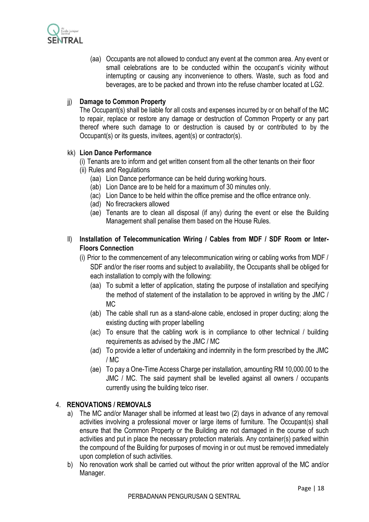

(aa) Occupants are not allowed to conduct any event at the common area. Any event or small celebrations are to be conducted within the occupant's vicinity without interrupting or causing any inconvenience to others. Waste, such as food and beverages, are to be packed and thrown into the refuse chamber located at LG2.

## jj) **Damage to Common Property**

The Occupant(s) shall be liable for all costs and expenses incurred by or on behalf of the MC to repair, replace or restore any damage or destruction of Common Property or any part thereof where such damage to or destruction is caused by or contributed to by the Occupant(s) or its guests, invitees, agent(s) or contractor(s).

#### kk) **Lion Dance Performance**

- (i) Tenants are to inform and get written consent from all the other tenants on their floor
- (ii) Rules and Regulations
	- (aa) Lion Dance performance can be held during working hours.
	- (ab) Lion Dance are to be held for a maximum of 30 minutes only.
	- (ac) Lion Dance to be held within the office premise and the office entrance only.
	- (ad) No firecrackers allowed
	- (ae) Tenants are to clean all disposal (if any) during the event or else the Building Management shall penalise them based on the House Rules.
- ll) **Installation of Telecommunication Wiring / Cables from MDF / SDF Room or Inter-Floors Connection**
	- (i) Prior to the commencement of any telecommunication wiring or cabling works from MDF / SDF and/or the riser rooms and subject to availability, the Occupants shall be obliged for each installation to comply with the following:
		- (aa) To submit a letter of application, stating the purpose of installation and specifying the method of statement of the installation to be approved in writing by the JMC / MC
		- (ab) The cable shall run as a stand-alone cable, enclosed in proper ducting; along the existing ducting with proper labelling
		- (ac) To ensure that the cabling work is in compliance to other technical / building requirements as advised by the JMC / MC
		- (ad) To provide a letter of undertaking and indemnity in the form prescribed by the JMC / MC
		- (ae) To pay a One-Time Access Charge per installation, amounting RM 10,000.00 to the JMC / MC. The said payment shall be levelled against all owners / occupants currently using the building telco riser.

#### 4. **RENOVATIONS / REMOVALS**

- a) The MC and/or Manager shall be informed at least two (2) days in advance of any removal activities involving a professional mover or large items of furniture. The Occupant(s) shall ensure that the Common Property or the Building are not damaged in the course of such activities and put in place the necessary protection materials. Any container(s) parked within the compound of the Building for purposes of moving in or out must be removed immediately upon completion of such activities.
- b) No renovation work shall be carried out without the prior written approval of the MC and/or Manager.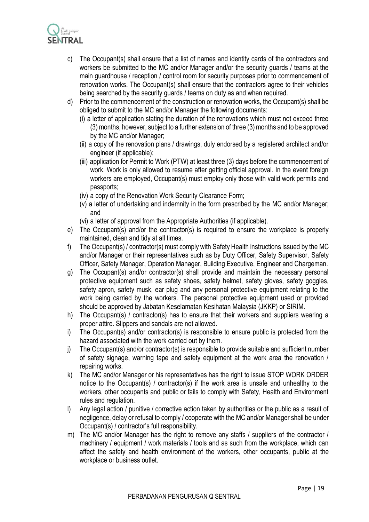

- c) The Occupant(s) shall ensure that a list of names and identity cards of the contractors and workers be submitted to the MC and/or Manager and/or the security guards / teams at the main guardhouse / reception / control room for security purposes prior to commencement of renovation works. The Occupant(s) shall ensure that the contractors agree to their vehicles being searched by the security guards / teams on duty as and when required.
- d) Prior to the commencement of the construction or renovation works, the Occupant(s) shall be obliged to submit to the MC and/or Manager the following documents:
	- (i) a letter of application stating the duration of the renovations which must not exceed three (3) months, however, subject to a further extension of three (3) months and to be approved by the MC and/or Manager;
	- (ii) a copy of the renovation plans / drawings, duly endorsed by a registered architect and/or engineer (if applicable);
	- (iii) application for Permit to Work (PTW) at least three (3) days before the commencement of work. Work is only allowed to resume after getting official approval. In the event foreign workers are employed, Occupant(s) must employ only those with valid work permits and passports;
	- (iv) a copy of the Renovation Work Security Clearance Form;
	- (v) a letter of undertaking and indemnity in the form prescribed by the MC and/or Manager; and
	- (vi) a letter of approval from the Appropriate Authorities (if applicable).
- e) The Occupant(s) and/or the contractor(s) is required to ensure the workplace is properly maintained, clean and tidy at all times.
- f) The Occupant(s) / contractor(s) must comply with Safety Health instructions issued by the MC and/or Manager or their representatives such as by Duty Officer, Safety Supervisor, Safety Officer, Safety Manager, Operation Manager, Building Executive, Engineer and Chargeman.
- g) The Occupant(s) and/or contractor(s) shall provide and maintain the necessary personal protective equipment such as safety shoes, safety helmet, safety gloves, safety goggles, safety apron, safety musk, ear plug and any personal protective equipment relating to the work being carried by the workers. The personal protective equipment used or provided should be approved by Jabatan Keselamatan Kesihatan Malaysia (JKKP) or SIRIM.
- h) The Occupant(s) / contractor(s) has to ensure that their workers and suppliers wearing a proper attire. Slippers and sandals are not allowed.
- i) The Occupant(s) and/or contractor(s) is responsible to ensure public is protected from the hazard associated with the work carried out by them.
- j) The Occupant(s) and/or contractor(s) is responsible to provide suitable and sufficient number of safety signage, warning tape and safety equipment at the work area the renovation / repairing works.
- k) The MC and/or Manager or his representatives has the right to issue STOP WORK ORDER notice to the Occupant(s) / contractor(s) if the work area is unsafe and unhealthy to the workers, other occupants and public or fails to comply with Safety, Health and Environment rules and regulation.
- l) Any legal action / punitive / corrective action taken by authorities or the public as a result of negligence, delay or refusal to comply / cooperate with the MC and/or Manager shall be under Occupant(s) / contractor's full responsibility.
- m) The MC and/or Manager has the right to remove any staffs / suppliers of the contractor / machinery / equipment / work materials / tools and as such from the workplace, which can affect the safety and health environment of the workers, other occupants, public at the workplace or business outlet.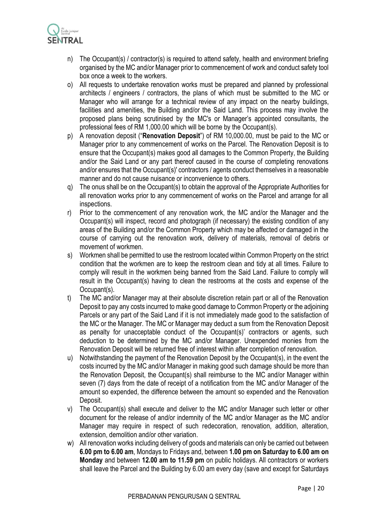

- n) The Occupant(s) / contractor(s) is required to attend safety, health and environment briefing organised by the MC and/or Manager prior to commencement of work and conduct safety tool box once a week to the workers.
- o) All requests to undertake renovation works must be prepared and planned by professional architects / engineers / contractors, the plans of which must be submitted to the MC or Manager who will arrange for a technical review of any impact on the nearby buildings, facilities and amenities, the Building and/or the Said Land. This process may involve the proposed plans being scrutinised by the MC's or Manager's appointed consultants, the professional fees of RM 1,000.00 which will be borne by the Occupant(s).
- p) A renovation deposit ("**Renovation Deposit**") of RM 10,000.00, must be paid to the MC or Manager prior to any commencement of works on the Parcel. The Renovation Deposit is to ensure that the Occupant(s) makes good all damages to the Common Property, the Building and/or the Said Land or any part thereof caused in the course of completing renovations and/or ensures that the Occupant(s)' contractors / agents conduct themselves in a reasonable manner and do not cause nuisance or inconvenience to others.
- q) The onus shall be on the Occupant(s) to obtain the approval of the Appropriate Authorities for all renovation works prior to any commencement of works on the Parcel and arrange for all inspections.
- r) Prior to the commencement of any renovation work, the MC and/or the Manager and the Occupant(s) will inspect, record and photograph (if necessary) the existing condition of any areas of the Building and/or the Common Property which may be affected or damaged in the course of carrying out the renovation work, delivery of materials, removal of debris or movement of workmen.
- s) Workmen shall be permitted to use the restroom located within Common Property on the strict condition that the workmen are to keep the restroom clean and tidy at all times. Failure to comply will result in the workmen being banned from the Said Land. Failure to comply will result in the Occupant(s) having to clean the restrooms at the costs and expense of the Occupant(s).
- t) The MC and/or Manager may at their absolute discretion retain part or all of the Renovation Deposit to pay any costs incurred to make good damage to Common Property or the adjoining Parcels or any part of the Said Land if it is not immediately made good to the satisfaction of the MC or the Manager. The MC or Manager may deduct a sum from the Renovation Deposit as penalty for unacceptable conduct of the Occupant(s)' contractors or agents, such deduction to be determined by the MC and/or Manager. Unexpended monies from the Renovation Deposit will be returned free of interest within after completion of renovation.
- u) Notwithstanding the payment of the Renovation Deposit by the Occupant(s), in the event the costs incurred by the MC and/or Manager in making good such damage should be more than the Renovation Deposit, the Occupant(s) shall reimburse to the MC and/or Manager within seven (7) days from the date of receipt of a notification from the MC and/or Manager of the amount so expended, the difference between the amount so expended and the Renovation Deposit.
- v) The Occupant(s) shall execute and deliver to the MC and/or Manager such letter or other document for the release of and/or indemnity of the MC and/or Manager as the MC and/or Manager may require in respect of such redecoration, renovation, addition, alteration, extension, demolition and/or other variation.
- w) All renovation works including delivery of goods and materials can only be carried out between **6.00 pm to 6.00 am**, Mondays to Fridays and, between **1.00 pm on Saturday to 6.00 am on Monday** and between **12.00 am to 11.59 pm** on public holidays. All contractors or workers shall leave the Parcel and the Building by 6.00 am every day (save and except for Saturdays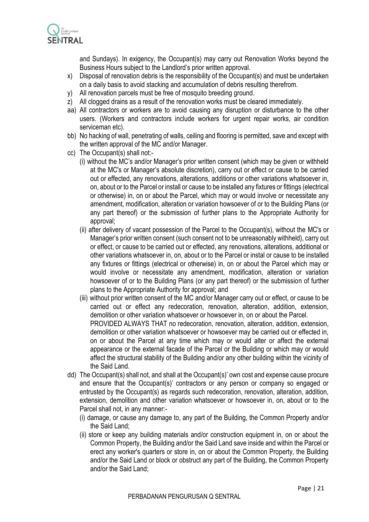

and Sundays). In exigency, the Occupant(s) may carry out Renovation Works beyond the Business Hours subject to the Landlord's prior written approval.

- x) Disposal of renovation debris is the responsibility of the Occupant(s) and must be undertaken on a daily basis to avoid stacking and accumulation of debris resulting therefrom.
- y) All renovation parcels must be free of mosquito breeding ground.
- z) All clogged drains as a result of the renovation works must be cleared immediately.
- aa) All contractors or workers are to avoid causing any disruption or disturbance to the other users. (Workers and contractors include workers for urgent repair works, air condition serviceman etc).
- bb) No hacking of wall, penetrating of walls, ceiling and flooring is permitted, save and except with the written approval of the MC and/or Manager.
- cc) The Occupant(s) shall not:-
	- (i) without the MC's and/or Manager's prior written consent (which may be given or withheld at the MC's or Manager's absolute discretion), carry out or effect or cause to be carried out or effected, any renovations, alterations, additions or other variations whatsoever in, on, about or to the Parcel or install or cause to be installed any fixtures or fittings (electrical or otherwise) in, on or about the Parcel, which may or would involve or necessitate any amendment, modification, alteration or variation howsoever of or to the Building Plans (or any part thereof) or the submission of further plans to the Appropriate Authority for approval;
	- (ii) after delivery of vacant possession of the Parcel to the Occupant(s), without the MC's or Manager's prior written consent (such consent not to be unreasonably withheld), carry out or effect, or cause to be carried out or effected, any renovations, alterations, additional or other variations whatsoever in, on, about or to the Parcel or instal or cause to be installed any fixtures or fittings (electrical or otherwise) in, on or about the Parcel which may or would involve or necessitate any amendment, modification, alteration or variation howsoever of or to the Building Plans (or any part thereof) or the submission of further plans to the Appropriate Authority for approval; and
	- (iii) without prior written consent of the MC and/or Manager carry out or effect, or cause to be carried out or effect any redecoration, renovation, alteration, addition, extension, demolition or other variation whatsoever or howsoever in, on or about the Parcel. PROVIDED ALWAYS THAT no redecoration, renovation, alteration, addition, extension, demolition or other variation whatsoever or howsoever may be carried out or effected in, on or about the Parcel at any time which may or would alter or affect the external appearance or the external facade of the Parcel or the Building or which may or would affect the structural stability of the Building and/or any other building within the vicinity of the Said Land.
- dd) The Occupant(s) shall not, and shall at the Occupant(s)' own cost and expense cause procure and ensure that the Occupant(s)' contractors or any person or company so engaged or entrusted by the Occupant(s) as regards such redecoration, renovation, alteration, addition, extension, demolition and other variation whatsoever or howsoever in, on, about or to the Parcel shall not, in any manner:-
	- (i) damage, or cause any damage to, any part of the Building, the Common Property and/or the Said Land;
	- (ii) store or keep any building materials and/or construction equipment in, on or about the Common Property, the Building and/or the Said Land save inside and within the Parcel or erect any worker's quarters or store in, on or about the Common Property, the Building and/or the Said Land or block or obstruct any part of the Building, the Common Property and/or the Said Land;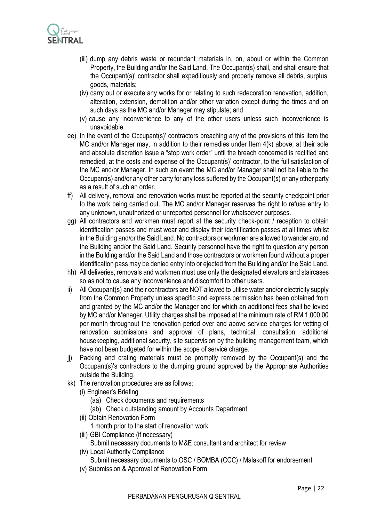

- (iii) dump any debris waste or redundant materials in, on, about or within the Common Property, the Building and/or the Said Land. The Occupant(s) shall, and shall ensure that the Occupant(s)' contractor shall expeditiously and properly remove all debris, surplus, goods, materials;
- (iv) carry out or execute any works for or relating to such redecoration renovation, addition, alteration, extension, demolition and/or other variation except during the times and on such days as the MC and/or Manager may stipulate; and
- (v) cause any inconvenience to any of the other users unless such inconvenience is unavoidable.
- ee) In the event of the Occupant(s)' contractors breaching any of the provisions of this item the MC and/or Manager may, in addition to their remedies under Item 4(k) above, at their sole and absolute discretion issue a "stop work order" until the breach concerned is rectified and remedied, at the costs and expense of the Occupant(s)' contractor, to the full satisfaction of the MC and/or Manager. In such an event the MC and/or Manager shall not be liable to the Occupant(s) and/or any other party for any loss suffered by the Occupant(s) or any other party as a result of such an order.
- ff) All delivery, removal and renovation works must be reported at the security checkpoint prior to the work being carried out. The MC and/or Manager reserves the right to refuse entry to any unknown, unauthorized or unreported personnel for whatsoever purposes.
- gg) All contractors and workmen must report at the security check-point / reception to obtain identification passes and must wear and display their identification passes at all times whilst in the Building and/or the Said Land. No contractors or workmen are allowed to wander around the Building and/or the Said Land. Security personnel have the right to question any person in the Building and/or the Said Land and those contractors or workmen found without a proper identification pass may be denied entry into or ejected from the Building and/or the Said Land.
- hh) All deliveries, removals and workmen must use only the designated elevators and staircases so as not to cause any inconvenience and discomfort to other users.
- ii) All Occupant(s) and their contractors are NOT allowed to utilise water and/or electricity supply from the Common Property unless specific and express permission has been obtained from and granted by the MC and/or the Manager and for which an additional fees shall be levied by MC and/or Manager. Utility charges shall be imposed at the minimum rate of RM 1,000.00 per month throughout the renovation period over and above service charges for vetting of renovation submissions and approval of plans, technical, consultation, additional housekeeping, additional security, site supervision by the building management team, which have not been budgeted for within the scope of service charge.
- jj) Packing and crating materials must be promptly removed by the Occupant(s) and the Occupant(s)'s contractors to the dumping ground approved by the Appropriate Authorities outside the Building.
- kk) The renovation procedures are as follows:
	- (i) Engineer's Briefing
		- (aa) Check documents and requirements
		- (ab) Check outstanding amount by Accounts Department
	- (ii) Obtain Renovation Form
		- 1 month prior to the start of renovation work
	- (iii) GBI Compliance (if necessary)
		- Submit necessary documents to M&E consultant and architect for review
	- (iv) Local Authority Compliance

Submit necessary documents to OSC / BOMBA (CCC) / Malakoff for endorsement

(v) Submission & Approval of Renovation Form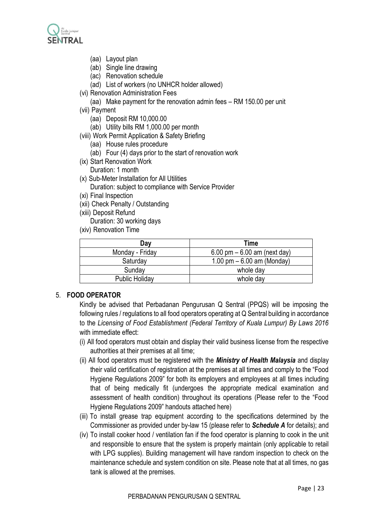

- (aa) Layout plan
- (ab) Single line drawing
- (ac) Renovation schedule
- (ad) List of workers (no UNHCR holder allowed)
- (vi) Renovation Administration Fees
	- (aa) Make payment for the renovation admin fees RM 150.00 per unit
- (vii) Payment
	- (aa) Deposit RM 10,000.00
	- (ab) Utility bills RM 1,000.00 per month
- (viii) Work Permit Application & Safety Briefing
	- (aa) House rules procedure
	- (ab) Four (4) days prior to the start of renovation work
- (ix) Start Renovation Work Duration: 1 month
- 
- (x) Sub-Meter Installation for All Utilities Duration: subject to compliance with Service Provider
- (xi) Final Inspection
- (xii) Check Penalty / Outstanding
- (xiii) Deposit Refund
	- Duration: 30 working days
- (xiv) Renovation Time

| Day                   | Time                           |  |
|-----------------------|--------------------------------|--|
| Monday - Friday       | 6.00 pm $-$ 6.00 am (next day) |  |
| Saturday              | 1.00 pm $-6.00$ am (Monday)    |  |
| Sunday                | whole day                      |  |
| <b>Public Holiday</b> | whole day                      |  |

### 5. **FOOD OPERATOR**

Kindly be advised that Perbadanan Pengurusan Q Sentral (PPQS) will be imposing the following rules / regulations to all food operators operating at Q Sentral building in accordance to the *Licensing of Food Establishment (Federal Territory of Kuala Lumpur) By Laws 2016* with immediate effect:

- (i) All food operators must obtain and display their valid business license from the respective authorities at their premises at all time;
- (ii) All food operators must be registered with the *Ministry of Health Malaysia* and display their valid certification of registration at the premises at all times and comply to the "Food Hygiene Regulations 2009" for both its employers and employees at all times including that of being medically fit (undergoes the appropriate medical examination and assessment of health condition) throughout its operations (Please refer to the "Food Hygiene Regulations 2009" handouts attached here)
- (iii) To install grease trap equipment according to the specifications determined by the Commissioner as provided under by-law 15 (please refer to *Schedule A* for details); and
- (iv) To install cooker hood / ventilation fan if the food operator is planning to cook in the unit and responsible to ensure that the system is properly maintain (only applicable to retail with LPG supplies). Building management will have random inspection to check on the maintenance schedule and system condition on site. Please note that at all times, no gas tank is allowed at the premises.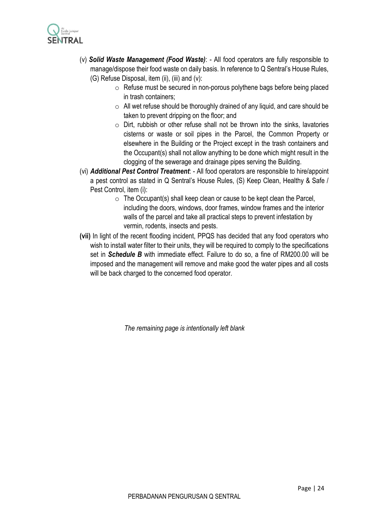

- (v) *Solid Waste Management (Food Waste)*: All food operators are fully responsible to manage/dispose their food waste on daily basis. In reference to Q Sentral's House Rules, (G) Refuse Disposal, item (ii), (iii) and (v):
	- o Refuse must be secured in non-porous polythene bags before being placed in trash containers;
	- $\circ$  All wet refuse should be thoroughly drained of any liquid, and care should be taken to prevent dripping on the floor; and
	- $\circ$  Dirt, rubbish or other refuse shall not be thrown into the sinks, lavatories cisterns or waste or soil pipes in the Parcel, the Common Property or elsewhere in the Building or the Project except in the trash containers and the Occupant(s) shall not allow anything to be done which might result in the clogging of the sewerage and drainage pipes serving the Building.
- (vi) *Additional Pest Control Treatment*: All food operators are responsible to hire/appoint a pest control as stated in Q Sentral's House Rules, (S) Keep Clean, Healthy & Safe / Pest Control, item (i):
	- $\circ$  The Occupant(s) shall keep clean or cause to be kept clean the Parcel, including the doors, windows, door frames, window frames and the interior walls of the parcel and take all practical steps to prevent infestation by vermin, rodents, insects and pests.
- **(vii)** In light of the recent flooding incident, PPQS has decided that any food operators who wish to install water filter to their units, they will be required to comply to the specifications set in *Schedule B* with immediate effect. Failure to do so, a fine of RM200.00 will be imposed and the management will remove and make good the water pipes and all costs will be back charged to the concerned food operator.

*The remaining page is intentionally left blank*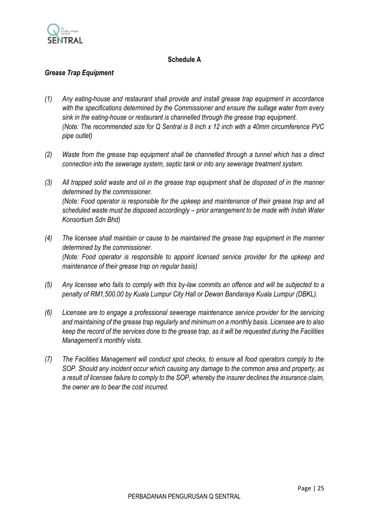

## **Schedule A**

## *Grease Trap Equipment*

- *(1) Any eating-house and restaurant shall provide and install grease trap equipment in accordance with the specifications determined by the Commissioner and ensure the sullage water from every sink in the eating-house or restaurant is channelled through the grease trap equipment. (Note: The recommended size for Q Sentral is 8 inch x 12 inch with a 40mm circumference PVC pipe outlet)*
- *(2) Waste from the grease trap equipment shall be channelled through a tunnel which has a direct connection into the sewerage system, septic tank or into any sewerage treatment system.*
- *(3) All trapped solid waste and oil in the grease trap equipment shall be disposed of in the manner determined by the commissioner. (Note: Food operator is responsible for the upkeep and maintenance of their grease trap and all scheduled waste must be disposed accordingly – prior arrangement to be made with Indah Water Konsortium Sdn Bhd)*
- *(4) The licensee shall maintain or cause to be maintained the grease trap equipment in the manner determined by the commissioner. (Note: Food operator is responsible to appoint licensed service provider for the upkeep and maintenance of their grease trap on regular basis)*
- *(5) Any licensee who fails to comply with this by-law commits an offence and will be subjected to a penalty of RM1,500.00 by Kuala Lumpur City Hall or Dewan Bandaraya Kuala Lumpur (DBKL).*
- *(6) Licensee are to engage a professional sewerage maintenance service provider for the servicing and maintaining of the grease trap regularly and minimum on a monthly basis. Licensee are to also keep the record of the services done to the grease trap, as it will be requested during the Facilities Management's monthly visits.*
- *(7) The Facilities Management will conduct spot checks, to ensure all food operators comply to the SOP. Should any incident occur which causing any damage to the common area and property, as a result of licensee failure to comply to the SOP, whereby the insurer declines the insurance claim, the owner are to bear the cost incurred.*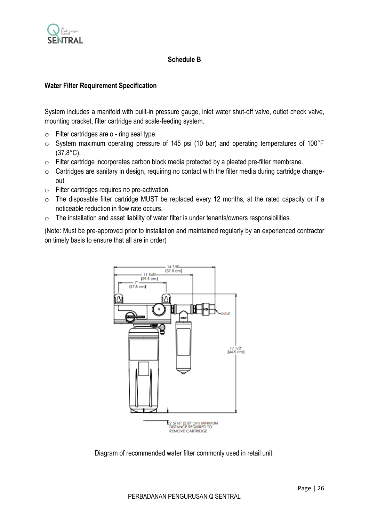

## **Schedule B**

### **Water Filter Requirement Specification**

System includes a manifold with built-in pressure gauge, inlet water shut-off valve, outlet check valve, mounting bracket, filter cartridge and scale-feeding system.

- $\circ$  Filter cartridges are  $\circ$  ring seal type.
- o System maximum operating pressure of 145 psi (10 bar) and operating temperatures of 100°F (37.8°C).
- o Filter cartridge incorporates carbon block media protected by a pleated pre-filter membrane.
- $\circ$  Cartridges are sanitary in design, requiring no contact with the filter media during cartridge changeout.
- o Filter cartridges requires no pre-activation.
- o The disposable filter cartridge MUST be replaced every 12 months, at the rated capacity or if a noticeable reduction in flow rate occurs.
- o The installation and asset liability of water filter is under tenants/owners responsibilities.

(Note: Must be pre-approved prior to installation and maintained regularly by an experienced contractor on timely basis to ensure that all are in order)



Diagram of recommended water filter commonly used in retail unit.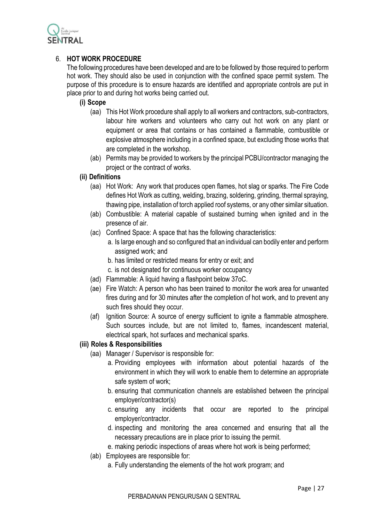

## 6. **HOT WORK PROCEDURE**

The following procedures have been developed and are to be followed by those required to perform hot work. They should also be used in conjunction with the confined space permit system. The purpose of this procedure is to ensure hazards are identified and appropriate controls are put in place prior to and during hot works being carried out.

### **(i) Scope**

- (aa) This Hot Work procedure shall apply to all workers and contractors, sub-contractors, labour hire workers and volunteers who carry out hot work on any plant or equipment or area that contains or has contained a flammable, combustible or explosive atmosphere including in a confined space, but excluding those works that are completed in the workshop.
- (ab) Permits may be provided to workers by the principal PCBU/contractor managing the project or the contract of works.

## **(ii) Definitions**

- (aa) Hot Work: Any work that produces open flames, hot slag or sparks. The Fire Code defines Hot Work as cutting, welding, brazing, soldering, grinding, thermal spraying, thawing pipe, installation of torch applied roof systems, or any other similar situation.
- (ab) Combustible: A material capable of sustained burning when ignited and in the presence of air.
- (ac) Confined Space: A space that has the following characteristics:
	- a. Is large enough and so configured that an individual can bodily enter and perform assigned work; and
	- b. has limited or restricted means for entry or exit; and
	- c. is not designated for continuous worker occupancy
- (ad) Flammable: A liquid having a flashpoint below 37oC.
- (ae) Fire Watch: A person who has been trained to monitor the work area for unwanted fires during and for 30 minutes after the completion of hot work, and to prevent any such fires should they occur.
- (af) Ignition Source: A source of energy sufficient to ignite a flammable atmosphere. Such sources include, but are not limited to, flames, incandescent material, electrical spark, hot surfaces and mechanical sparks.

## **(iii) Roles & Responsibilities**

- (aa) Manager / Supervisor is responsible for:
	- a. Providing employees with information about potential hazards of the environment in which they will work to enable them to determine an appropriate safe system of work;
	- b. ensuring that communication channels are established between the principal employer/contractor(s)
	- c. ensuring any incidents that occur are reported to the principal employer/contractor.
	- d. inspecting and monitoring the area concerned and ensuring that all the necessary precautions are in place prior to issuing the permit.
	- e. making periodic inspections of areas where hot work is being performed;
- (ab) Employees are responsible for:
	- a. Fully understanding the elements of the hot work program; and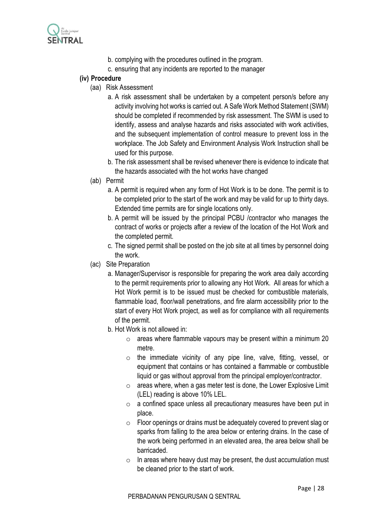

- b. complying with the procedures outlined in the program.
- c. ensuring that any incidents are reported to the manager

## **(iv) Procedure**

- (aa) Risk Assessment
	- a. A risk assessment shall be undertaken by a competent person/s before any activity involving hot works is carried out. A Safe Work Method Statement (SWM) should be completed if recommended by risk assessment. The SWM is used to identify, assess and analyse hazards and risks associated with work activities, and the subsequent implementation of control measure to prevent loss in the workplace. The Job Safety and Environment Analysis Work Instruction shall be used for this purpose.
	- b. The risk assessment shall be revised whenever there is evidence to indicate that the hazards associated with the hot works have changed
- (ab) Permit
	- a. A permit is required when any form of Hot Work is to be done. The permit is to be completed prior to the start of the work and may be valid for up to thirty days. Extended time permits are for single locations only.
	- b. A permit will be issued by the principal PCBU /contractor who manages the contract of works or projects after a review of the location of the Hot Work and the completed permit.
	- c. The signed permit shall be posted on the job site at all times by personnel doing the work.
- (ac) Site Preparation
	- a. Manager/Supervisor is responsible for preparing the work area daily according to the permit requirements prior to allowing any Hot Work. All areas for which a Hot Work permit is to be issued must be checked for combustible materials, flammable load, floor/wall penetrations, and fire alarm accessibility prior to the start of every Hot Work project, as well as for compliance with all requirements of the permit.
	- b. Hot Work is not allowed in:
		- $\circ$  areas where flammable vapours may be present within a minimum 20 metre.
		- o the immediate vicinity of any pipe line, valve, fitting, vessel, or equipment that contains or has contained a flammable or combustible liquid or gas without approval from the principal employer/contractor.
		- $\circ$  areas where, when a gas meter test is done, the Lower Explosive Limit (LEL) reading is above 10% LEL.
		- o a confined space unless all precautionary measures have been put in place.
		- o Floor openings or drains must be adequately covered to prevent slag or sparks from falling to the area below or entering drains. In the case of the work being performed in an elevated area, the area below shall be barricaded.
		- $\circ$  In areas where heavy dust may be present, the dust accumulation must be cleaned prior to the start of work.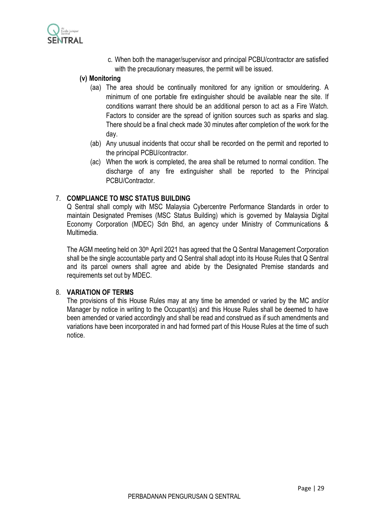

c. When both the manager/supervisor and principal PCBU/contractor are satisfied with the precautionary measures, the permit will be issued.

### **(v) Monitoring**

- (aa) The area should be continually monitored for any ignition or smouldering. A minimum of one portable fire extinguisher should be available near the site. If conditions warrant there should be an additional person to act as a Fire Watch. Factors to consider are the spread of ignition sources such as sparks and slag. There should be a final check made 30 minutes after completion of the work for the day.
- (ab) Any unusual incidents that occur shall be recorded on the permit and reported to the principal PCBU/contractor.
- (ac) When the work is completed, the area shall be returned to normal condition. The discharge of any fire extinguisher shall be reported to the Principal PCBU/Contractor.

### 7. **COMPLIANCE TO MSC STATUS BUILDING**

Q Sentral shall comply with MSC Malaysia Cybercentre Performance Standards in order to maintain Designated Premises (MSC Status Building) which is governed by Malaysia Digital Economy Corporation (MDEC) Sdn Bhd, an agency under Ministry of Communications & Multimedia.

The AGM meeting held on 30<sup>th</sup> April 2021 has agreed that the Q Sentral Management Corporation shall be the single accountable party and Q Sentral shall adopt into its House Rules that Q Sentral and its parcel owners shall agree and abide by the Designated Premise standards and requirements set out by MDEC.

#### 8. **VARIATION OF TERMS**

The provisions of this House Rules may at any time be amended or varied by the MC and/or Manager by notice in writing to the Occupant(s) and this House Rules shall be deemed to have been amended or varied accordingly and shall be read and construed as if such amendments and variations have been incorporated in and had formed part of this House Rules at the time of such notice.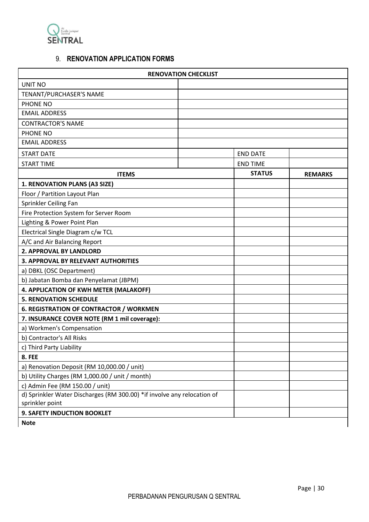

## 9. **RENOVATION APPLICATION FORMS**

| <b>RENOVATION CHECKLIST</b>                                             |  |                 |                |  |
|-------------------------------------------------------------------------|--|-----------------|----------------|--|
| UNIT NO                                                                 |  |                 |                |  |
| TENANT/PURCHASER'S NAME                                                 |  |                 |                |  |
| PHONE NO                                                                |  |                 |                |  |
| <b>EMAIL ADDRESS</b>                                                    |  |                 |                |  |
| <b>CONTRACTOR'S NAME</b>                                                |  |                 |                |  |
| PHONE NO                                                                |  |                 |                |  |
| <b>EMAIL ADDRESS</b>                                                    |  |                 |                |  |
| <b>START DATE</b>                                                       |  | <b>END DATE</b> |                |  |
| <b>START TIME</b>                                                       |  | <b>END TIME</b> |                |  |
| <b>ITEMS</b>                                                            |  | <b>STATUS</b>   | <b>REMARKS</b> |  |
| 1. RENOVATION PLANS (A3 SIZE)                                           |  |                 |                |  |
| Floor / Partition Layout Plan                                           |  |                 |                |  |
| Sprinkler Ceiling Fan                                                   |  |                 |                |  |
| Fire Protection System for Server Room                                  |  |                 |                |  |
| Lighting & Power Point Plan                                             |  |                 |                |  |
| Electrical Single Diagram c/w TCL                                       |  |                 |                |  |
| A/C and Air Balancing Report                                            |  |                 |                |  |
| 2. APPROVAL BY LANDLORD                                                 |  |                 |                |  |
| 3. APPROVAL BY RELEVANT AUTHORITIES                                     |  |                 |                |  |
| a) DBKL (OSC Department)                                                |  |                 |                |  |
| b) Jabatan Bomba dan Penyelamat (JBPM)                                  |  |                 |                |  |
| 4. APPLICATION OF KWH METER (MALAKOFF)                                  |  |                 |                |  |
| <b>5. RENOVATION SCHEDULE</b>                                           |  |                 |                |  |
| <b>6. REGISTRATION OF CONTRACTOR / WORKMEN</b>                          |  |                 |                |  |
| 7. INSURANCE COVER NOTE (RM 1 mil coverage):                            |  |                 |                |  |
| a) Workmen's Compensation                                               |  |                 |                |  |
| b) Contractor's All Risks                                               |  |                 |                |  |
| c) Third Party Liability                                                |  |                 |                |  |
| <b>8. FEE</b>                                                           |  |                 |                |  |
| a) Renovation Deposit (RM 10,000.00 / unit)                             |  |                 |                |  |
| b) Utility Charges (RM 1,000.00 / unit / month)                         |  |                 |                |  |
| c) Admin Fee (RM 150.00 / unit)                                         |  |                 |                |  |
| d) Sprinkler Water Discharges (RM 300.00) *if involve any relocation of |  |                 |                |  |
| sprinkler point                                                         |  |                 |                |  |
| 9. SAFETY INDUCTION BOOKLET                                             |  |                 |                |  |
| <b>Note</b>                                                             |  |                 |                |  |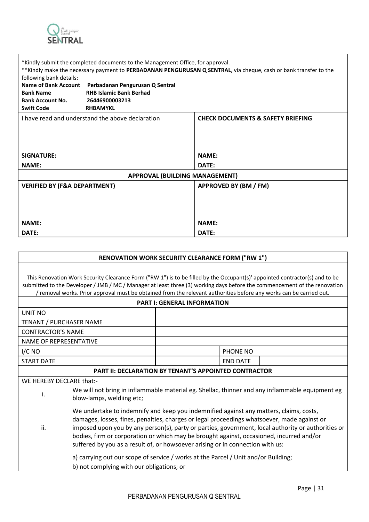

\*Kindly submit the completed documents to the Management Office, for approval.

\*\*Kindly make the necessary payment to **PERBADANAN PENGURUSAN Q SENTRAL**, via cheque, cash or bank transfer to the following bank details:

| $19.191111B$ barm actains.<br><b>Name of Bank Account</b><br><b>Bank Name</b><br><b>Bank Account No.</b><br><b>Swift Code</b> | Perbadanan Pengurusan Q Sentral<br><b>RHB Islamic Bank Berhad</b><br>26446900003213<br><b>RHBAMYKL</b> |                                              |
|-------------------------------------------------------------------------------------------------------------------------------|--------------------------------------------------------------------------------------------------------|----------------------------------------------|
|                                                                                                                               | I have read and understand the above declaration                                                       | <b>CHECK DOCUMENTS &amp; SAFETY BRIEFING</b> |
| <b>SIGNATURE:</b>                                                                                                             |                                                                                                        | <b>NAME:</b>                                 |
| <b>NAME:</b>                                                                                                                  |                                                                                                        | DATE:                                        |
|                                                                                                                               | <b>APPROVAL (BUILDING MANAGEMENT)</b>                                                                  |                                              |
| <b>VERIFIED BY (F&amp;A DEPARTMENT)</b>                                                                                       |                                                                                                        | APPROVED BY (BM / FM)                        |
| <b>NAME:</b>                                                                                                                  |                                                                                                        | <b>NAME:</b>                                 |
| DATE:                                                                                                                         |                                                                                                        | DATE:                                        |

| <b>RENOVATION WORK SECURITY CLEARANCE FORM ("RW 1")</b>                                                                                                                                                                                                                                                                                                                                                                                                                          |                                                       |                                    |                 |  |
|----------------------------------------------------------------------------------------------------------------------------------------------------------------------------------------------------------------------------------------------------------------------------------------------------------------------------------------------------------------------------------------------------------------------------------------------------------------------------------|-------------------------------------------------------|------------------------------------|-----------------|--|
| This Renovation Work Security Clearance Form ("RW 1") is to be filled by the Occupant(s)' appointed contractor(s) and to be<br>submitted to the Developer / JMB / MC / Manager at least three (3) working days before the commencement of the renovation<br>/ removal works. Prior approval must be obtained from the relevant authorities before any works can be carried out.                                                                                                  |                                                       |                                    |                 |  |
|                                                                                                                                                                                                                                                                                                                                                                                                                                                                                  |                                                       | <b>PART I: GENERAL INFORMATION</b> |                 |  |
| UNIT NO                                                                                                                                                                                                                                                                                                                                                                                                                                                                          |                                                       |                                    |                 |  |
| TENANT / PURCHASER NAME                                                                                                                                                                                                                                                                                                                                                                                                                                                          |                                                       |                                    |                 |  |
| <b>CONTRACTOR'S NAME</b>                                                                                                                                                                                                                                                                                                                                                                                                                                                         |                                                       |                                    |                 |  |
| NAME OF REPRESENTATIVE                                                                                                                                                                                                                                                                                                                                                                                                                                                           |                                                       |                                    |                 |  |
| I/CNO                                                                                                                                                                                                                                                                                                                                                                                                                                                                            |                                                       |                                    | PHONE NO        |  |
| <b>START DATE</b>                                                                                                                                                                                                                                                                                                                                                                                                                                                                |                                                       |                                    | <b>END DATE</b> |  |
|                                                                                                                                                                                                                                                                                                                                                                                                                                                                                  | PART II: DECLARATION BY TENANT'S APPOINTED CONTRACTOR |                                    |                 |  |
| WE HEREBY DECLARE that:-                                                                                                                                                                                                                                                                                                                                                                                                                                                         |                                                       |                                    |                 |  |
| We will not bring in inflammable material eg. Shellac, thinner and any inflammable equipment eg<br>i.<br>blow-lamps, weldiing etc;                                                                                                                                                                                                                                                                                                                                               |                                                       |                                    |                 |  |
| We undertake to indemnify and keep you indemnified against any matters, claims, costs,<br>damages, losses, fines, penalties, charges or legal proceedings whatsoever, made against or<br>ii.<br>imposed upon you by any person(s), party or parties, government, local authority or authorities or<br>bodies, firm or corporation or which may be brought against, occasioned, incurred and/or<br>suffered by you as a result of, or howsoever arising or in connection with us: |                                                       |                                    |                 |  |

a) carrying out our scope of service / works at the Parcel / Unit and/or Building; b) not complying with our obligations; or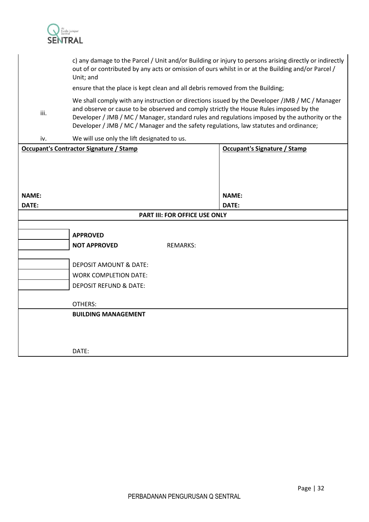

|                                                                               | c) any damage to the Parcel / Unit and/or Building or injury to persons arising directly or indirectly<br>out of or contributed by any acts or omission of ours whilst in or at the Building and/or Parcel /<br>Unit; and                                                                                                                                                            |                                      |                                     |  |  |
|-------------------------------------------------------------------------------|--------------------------------------------------------------------------------------------------------------------------------------------------------------------------------------------------------------------------------------------------------------------------------------------------------------------------------------------------------------------------------------|--------------------------------------|-------------------------------------|--|--|
| ensure that the place is kept clean and all debris removed from the Building; |                                                                                                                                                                                                                                                                                                                                                                                      |                                      |                                     |  |  |
| iii.                                                                          | We shall comply with any instruction or directions issued by the Developer /JMB / MC / Manager<br>and observe or cause to be observed and comply strictly the House Rules imposed by the<br>Developer / JMB / MC / Manager, standard rules and regulations imposed by the authority or the<br>Developer / JMB / MC / Manager and the safety regulations, law statutes and ordinance; |                                      |                                     |  |  |
| iv.                                                                           | We will use only the lift designated to us.                                                                                                                                                                                                                                                                                                                                          |                                      |                                     |  |  |
|                                                                               | <b>Occupant's Contractor Signature / Stamp</b>                                                                                                                                                                                                                                                                                                                                       |                                      | <b>Occupant's Signature / Stamp</b> |  |  |
|                                                                               |                                                                                                                                                                                                                                                                                                                                                                                      |                                      |                                     |  |  |
|                                                                               |                                                                                                                                                                                                                                                                                                                                                                                      |                                      |                                     |  |  |
| NAME:                                                                         |                                                                                                                                                                                                                                                                                                                                                                                      |                                      | <b>NAME:</b>                        |  |  |
| DATE:                                                                         |                                                                                                                                                                                                                                                                                                                                                                                      |                                      | DATE:                               |  |  |
|                                                                               |                                                                                                                                                                                                                                                                                                                                                                                      | <b>PART III: FOR OFFICE USE ONLY</b> |                                     |  |  |
|                                                                               |                                                                                                                                                                                                                                                                                                                                                                                      |                                      |                                     |  |  |
|                                                                               | <b>APPROVED</b>                                                                                                                                                                                                                                                                                                                                                                      |                                      |                                     |  |  |
|                                                                               | <b>NOT APPROVED</b>                                                                                                                                                                                                                                                                                                                                                                  | <b>REMARKS:</b>                      |                                     |  |  |
|                                                                               | <b>DEPOSIT AMOUNT &amp; DATE:</b>                                                                                                                                                                                                                                                                                                                                                    |                                      |                                     |  |  |
|                                                                               | <b>WORK COMPLETION DATE:</b>                                                                                                                                                                                                                                                                                                                                                         |                                      |                                     |  |  |
|                                                                               | <b>DEPOSIT REFUND &amp; DATE:</b>                                                                                                                                                                                                                                                                                                                                                    |                                      |                                     |  |  |
|                                                                               |                                                                                                                                                                                                                                                                                                                                                                                      |                                      |                                     |  |  |
|                                                                               | OTHERS:                                                                                                                                                                                                                                                                                                                                                                              |                                      |                                     |  |  |
|                                                                               | <b>BUILDING MANAGEMENT</b>                                                                                                                                                                                                                                                                                                                                                           |                                      |                                     |  |  |
|                                                                               |                                                                                                                                                                                                                                                                                                                                                                                      |                                      |                                     |  |  |
|                                                                               |                                                                                                                                                                                                                                                                                                                                                                                      |                                      |                                     |  |  |
|                                                                               | DATE:                                                                                                                                                                                                                                                                                                                                                                                |                                      |                                     |  |  |
|                                                                               |                                                                                                                                                                                                                                                                                                                                                                                      |                                      |                                     |  |  |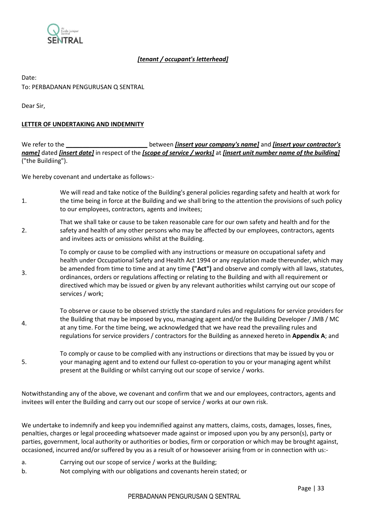

### *[tenant / occupant's letterhead]*

## Date: To: PERBADANAN PENGURUSAN Q SENTRAL

Dear Sir,

3.

#### **LETTER OF UNDERTAKING AND INDEMNITY**

We refer to the **\_\_\_\_\_\_\_\_\_\_\_\_\_\_\_\_\_\_\_\_\_\_\_\_\_** between *[insert your company's name]* and *[insert your contractor's name]* dated *[insert date]* in respect of the *[scope of service / works]* at *[insert unit number name of the building]* ("the Buildiing").

We hereby covenant and undertake as follows:-

- 1. We will read and take notice of the Building's general policies regarding safety and health at work for the time being in force at the Building and we shall bring to the attention the provisions of such policy to our employees, contractors, agents and invitees;
- 2. That we shall take or cause to be taken reasonable care for our own safety and health and for the safety and health of any other persons who may be affected by our employees, contractors, agents and invitees acts or omissions whilst at the Building.
	- To comply or cause to be complied with any instructions or measure on occupational safety and health under Occupational Safety and Health Act 1994 or any regulation made thereunder, which may be amended from time to time and at any time **("Act")** and observe and comply with all laws, statutes, ordinances, orders or regulations affecting or relating to the Building and with all requirement or directived which may be issued or given by any relevant authorities whilst carrying out our scope of services / work;
- 4. To observe or cause to be observed strictly the standard rules and regulations for service providers for the Building that may be imposed by you, managing agent and/or the Building Developer / JMB / MC at any time. For the time being, we acknowledged that we have read the prevailing rules and regulations for service providers / contractors for the Building as annexed hereto in **Appendix A**; and
- 5. To comply or cause to be complied with any instructions or directions that may be issued by you or your managing agent and to extend our fullest co-operation to you or your managing agent whilst present at the Building or whilst carrying out our scope of service / works.

Notwithstanding any of the above, we covenant and confirm that we and our employees, contractors, agents and invitees will enter the Building and carry out our scope of service / works at our own risk.

We undertake to indemnify and keep you indemnified against any matters, claims, costs, damages, losses, fines, penalties, charges or legal proceeding whatsoever made against or imposed upon you by any person(s), party or parties, government, local authority or authorities or bodies, firm or corporation or which may be brought against, occasioned, incurred and/or suffered by you as a result of or howsoever arising from or in connection with us:-

- a. Carrying out our scope of service / works at the Building;
- b. Not complying with our obligations and covenants herein stated; or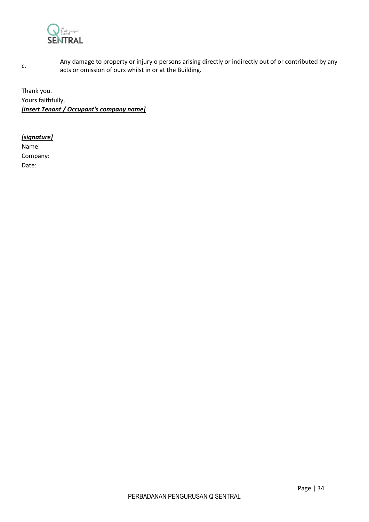

Any damage to property or injury o persons arising directly or indirectly out of or contributed by any acts or omission of ours whilst in or at the Building.

Thank you. Yours faithfully, *[insert Tenant / Occupant's company name]*

#### *[signature]*

c.

Name: Company: Date: